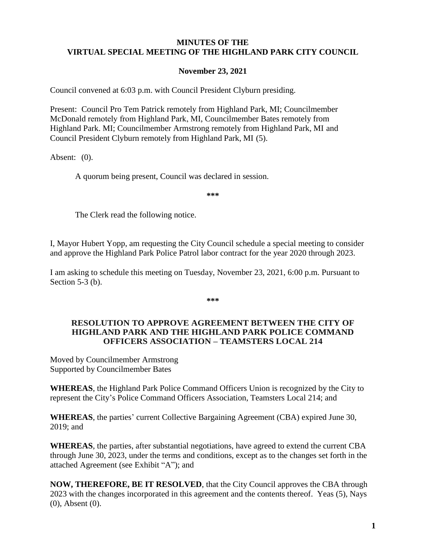## **MINUTES OF THE VIRTUAL SPECIAL MEETING OF THE HIGHLAND PARK CITY COUNCIL**

## **November 23, 2021**

Council convened at 6:03 p.m. with Council President Clyburn presiding.

Present: Council Pro Tem Patrick remotely from Highland Park, MI; Councilmember McDonald remotely from Highland Park, MI, Councilmember Bates remotely from Highland Park. MI; Councilmember Armstrong remotely from Highland Park, MI and Council President Clyburn remotely from Highland Park, MI (5).

Absent: (0).

A quorum being present, Council was declared in session.

**\*\*\***

The Clerk read the following notice.

I, Mayor Hubert Yopp, am requesting the City Council schedule a special meeting to consider and approve the Highland Park Police Patrol labor contract for the year 2020 through 2023.

I am asking to schedule this meeting on Tuesday, November 23, 2021, 6:00 p.m. Pursuant to Section 5-3 (b).

**\*\*\***

#### **RESOLUTION TO APPROVE AGREEMENT BETWEEN THE CITY OF HIGHLAND PARK AND THE HIGHLAND PARK POLICE COMMAND OFFICERS ASSOCIATION – TEAMSTERS LOCAL 214**

Moved by Councilmember Armstrong Supported by Councilmember Bates

**WHEREAS**, the Highland Park Police Command Officers Union is recognized by the City to represent the City's Police Command Officers Association, Teamsters Local 214; and

**WHEREAS**, the parties' current Collective Bargaining Agreement (CBA) expired June 30, 2019; and

**WHEREAS**, the parties, after substantial negotiations, have agreed to extend the current CBA through June 30, 2023, under the terms and conditions, except as to the changes set forth in the attached Agreement (see Exhibit "A"); and

**NOW, THEREFORE, BE IT RESOLVED**, that the City Council approves the CBA through 2023 with the changes incorporated in this agreement and the contents thereof. Yeas (5), Nays (0), Absent (0).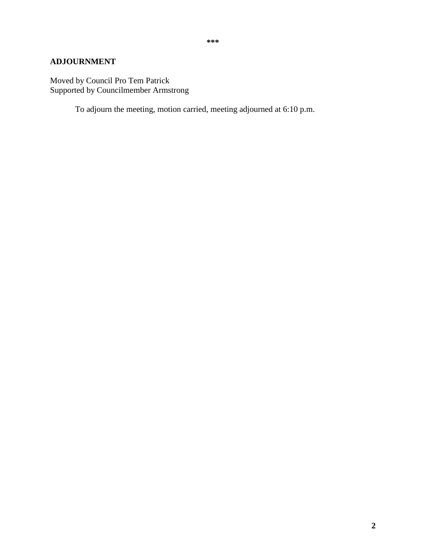## **ADJOURNMENT**

Moved by Council Pro Tem Patrick Supported by Councilmember Armstrong

To adjourn the meeting, motion carried, meeting adjourned at 6:10 p.m.